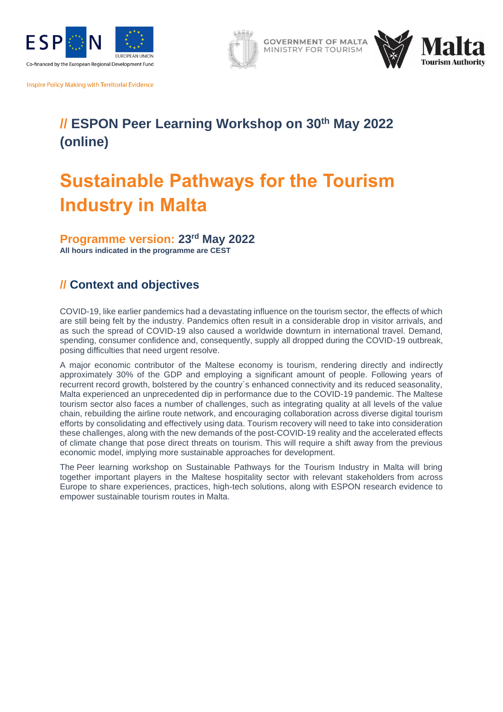

Inspire Policy Making with Territorial Evidence

# **// ESPON Peer Learning Workshop on 30th May 2022 (online)**

**GOVERNMENT OF MALTA** MINISTRY FOR TOURISM

# **Sustainable Pathways for the Tourism Industry in Malta**

**Programme version: 23rd May 2022 All hours indicated in the programme are CEST**

# **// Context and objectives**

COVID-19, like earlier pandemics had a devastating influence on the tourism sector, the effects of which are still being felt by the industry. Pandemics often result in a considerable drop in visitor arrivals, and as such the spread of COVID-19 also caused a worldwide downturn in international travel. Demand, spending, consumer confidence and, consequently, supply all dropped during the COVID-19 outbreak, posing difficulties that need urgent resolve.

A major economic contributor of the Maltese economy is tourism, rendering directly and indirectly approximately 30% of the GDP and employing a significant amount of people. Following years of recurrent record growth, bolstered by the country´s enhanced connectivity and its reduced seasonality, Malta experienced an unprecedented dip in performance due to the COVID-19 pandemic. The Maltese tourism sector also faces a number of challenges, such as integrating quality at all levels of the value chain, rebuilding the airline route network, and encouraging collaboration across diverse digital tourism efforts by consolidating and effectively using data. Tourism recovery will need to take into consideration these challenges, along with the new demands of the post-COVID-19 reality and the accelerated effects of climate change that pose direct threats on tourism. This will require a shift away from the previous economic model, implying more sustainable approaches for development.

The Peer learning workshop on Sustainable Pathways for the Tourism Industry in Malta will bring together important players in the Maltese hospitality sector with relevant stakeholders from across Europe to share experiences, practices, high-tech solutions, along with ESPON research evidence to empower sustainable tourism routes in Malta.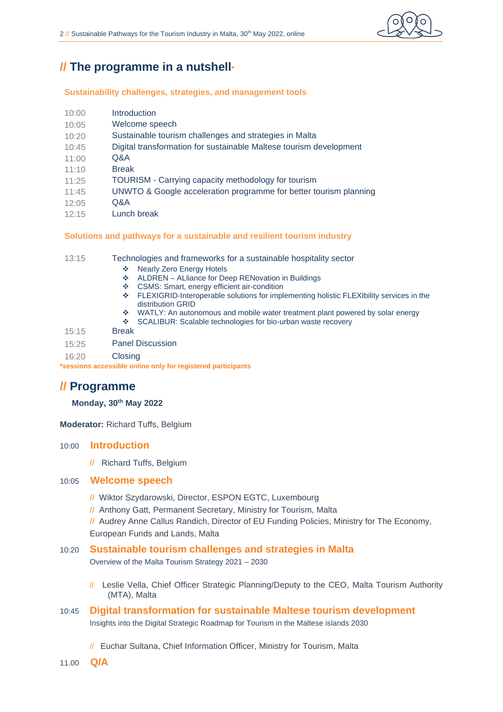

# **// The programme in a nutshell\***

## **Sustainability challenges, strategies, and management tools**

| 10:00 | <b>Introduction</b>                                                |
|-------|--------------------------------------------------------------------|
| 10:05 | Welcome speech                                                     |
| 10:20 | Sustainable tourism challenges and strategies in Malta             |
| 10:45 | Digital transformation for sustainable Maltese tourism development |
| 11:00 | Q&A                                                                |
| 11:10 | <b>Break</b>                                                       |
| 11:25 | TOURISM - Carrying capacity methodology for tourism                |
| 11:45 | UNWTO & Google acceleration programme for better tourism planning  |
| 12:05 | Q&A                                                                |
| 12:15 | Lunch break                                                        |
|       |                                                                    |

## **Solutions and pathways for a sustainable and resilient tourism industry**

13:15 Technologies and frameworks for a sustainable hospitality sector

- ❖ Nearly Zero Energy Hotels
- ❖ ALDREN ALliance for Deep RENovation in Buildings
- ❖ CSMS: Smart, energy efficient air-condition
- ❖ FLEXIGRID-Interoperable solutions for implementing holistic FLEXIbility services in the distribution GRID
- ❖ WATLY: An autonomous and mobile water treatment plant powered by solar energy<br>❖ SCALIBUR: Scalable technologies for bio-urban waste recovery
- SCALIBUR: Scalable technologies for bio-urban waste recovery
- 15:15 Break
- 15:25 Panel Discussion

16:20 Closing

**\*sessions accessible online only for registered participants**

# **// Programme**

# **Monday, 30th May 2022**

**Moderator:** Richard Tuffs, Belgium

# 10:00 **Introduction**

// Richard Tuffs, Belgium

# 10:05 **Welcome speech**

- // Wiktor Szydarowski, Director, ESPON EGTC, Luxembourg
- // Anthony Gatt, Permanent Secretary, Ministry for Tourism, Malta
- // Audrey Anne Callus Randich, Director of EU Funding Policies, Ministry for The Economy, European Funds and Lands, Malta

# 10:20 **Sustainable tourism challenges and strategies in Malta**

Overview of the Malta Tourism Strategy 2021 – 2030

- // Leslie Vella, Chief Officer Strategic Planning/Deputy to the CEO, Malta Tourism Authority (MTA), Malta
- 10:45 **Digital transformation for sustainable Maltese tourism development**  Insights into the Digital Strategic Roadmap for Tourism in the Maltese islands 2030
	- // Euchar Sultana, Chief Information Officer, Ministry for Tourism, Malta
- 11.00 **Q/A**